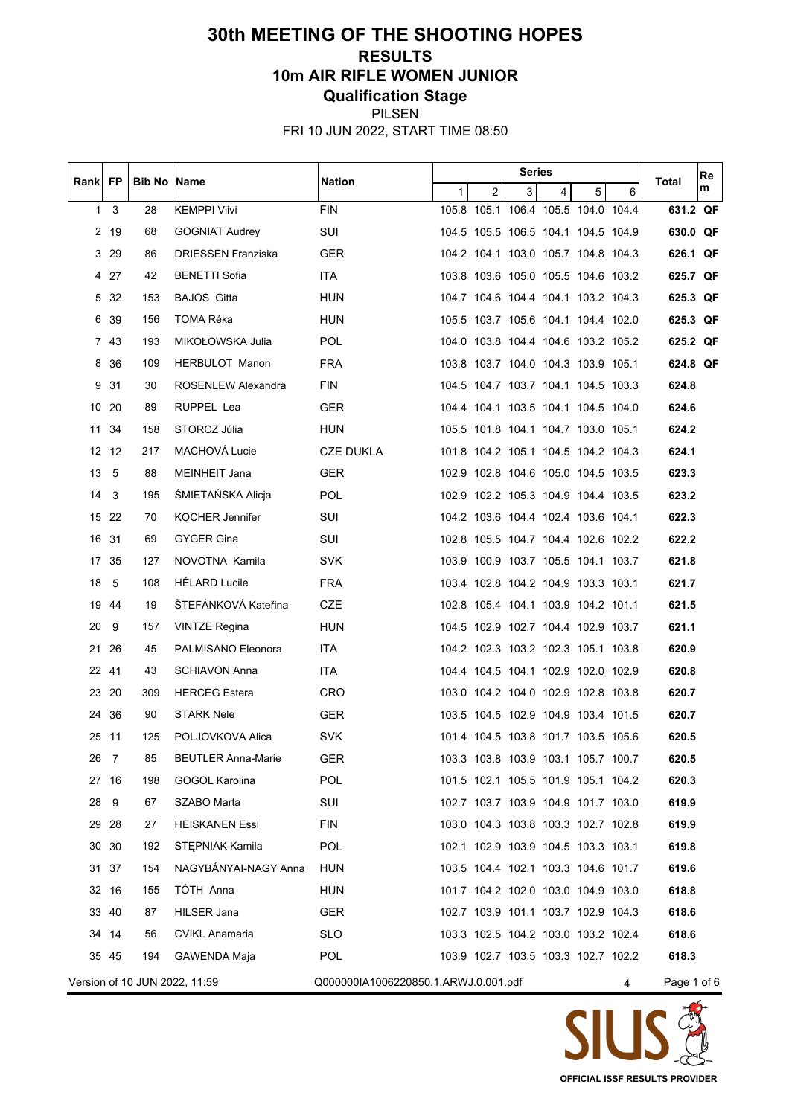## **30th MEETING OF THE SHOOTING HOPES RESULTS 10m AIR RIFLE WOMEN JUNIOR Qualification Stage**

PILSEN FRI 10 JUN 2022, START TIME 08:50

| Rank  FP     |                |     | <b>Bib No Name</b>            | <b>Nation</b>                        |              |   | <b>Series</b> |   |                                     |   | Re<br>Total |
|--------------|----------------|-----|-------------------------------|--------------------------------------|--------------|---|---------------|---|-------------------------------------|---|-------------|
|              |                |     |                               |                                      | $\mathbf{1}$ | 2 | 3             | 4 | 5 <sup>1</sup>                      | 6 | m           |
| $\mathbf{1}$ | 3              | 28  | <b>KEMPPI Viivi</b>           | <b>FIN</b>                           |              |   |               |   | 105.8 105.1 106.4 105.5 104.0 104.4 |   | 631.2 QF    |
|              | 2 19           | 68  | <b>GOGNIAT Audrey</b>         | SUI                                  |              |   |               |   | 104.5 105.5 106.5 104.1 104.5 104.9 |   | 630.0 QF    |
|              | 3 29           | 86  | DRIESSEN Franziska            | <b>GER</b>                           |              |   |               |   | 104.2 104.1 103.0 105.7 104.8 104.3 |   | 626.1 QF    |
|              | 4 27           | 42  | <b>BENETTI Sofia</b>          | ITA.                                 |              |   |               |   | 103.8 103.6 105.0 105.5 104.6 103.2 |   | 625.7 QF    |
| 5            | -32            | 153 | <b>BAJOS Gitta</b>            | <b>HUN</b>                           |              |   |               |   | 104.7 104.6 104.4 104.1 103.2 104.3 |   | 625.3 QF    |
| 6            | 39             | 156 | TOMA Réka                     | <b>HUN</b>                           |              |   |               |   | 105.5 103.7 105.6 104.1 104.4 102.0 |   | 625.3 QF    |
|              | 7 43           | 193 | MIKOŁOWSKA Julia              | POL.                                 |              |   |               |   | 104.0 103.8 104.4 104.6 103.2 105.2 |   | 625.2 QF    |
| 8            | 36             | 109 | <b>HERBULOT Manon</b>         | FRA                                  |              |   |               |   | 103.8 103.7 104.0 104.3 103.9 105.1 |   | 624.8 QF    |
| 9            | 31             | 30  | ROSENLEW Alexandra            | <b>FIN</b>                           |              |   |               |   | 104.5 104.7 103.7 104.1 104.5 103.3 |   | 624.8       |
|              | 10 20          | 89  | RUPPEL Lea                    | GER.                                 |              |   |               |   | 104.4 104.1 103.5 104.1 104.5 104.0 |   | 624.6       |
|              | 11 34          | 158 | STORCZ Júlia                  | <b>HUN</b>                           |              |   |               |   | 105.5 101.8 104.1 104.7 103.0 105.1 |   | 624.2       |
|              | 12 12          | 217 | MACHOVÁ Lucie                 | <b>CZE DUKLA</b>                     |              |   |               |   | 101.8 104.2 105.1 104.5 104.2 104.3 |   | 624.1       |
| 13           | 5              | 88  | MEINHEIT Jana                 | <b>GER</b>                           |              |   |               |   | 102.9 102.8 104.6 105.0 104.5 103.5 |   | 623.3       |
| 14           | 3              | 195 | ŚMIETAŃSKA Alicja             | <b>POL</b>                           |              |   |               |   | 102.9 102.2 105.3 104.9 104.4 103.5 |   | 623.2       |
|              | 15 22          | 70  | <b>KOCHER Jennifer</b>        | SUI                                  |              |   |               |   | 104.2 103.6 104.4 102.4 103.6 104.1 |   | 622.3       |
|              | 16 31          | 69  | <b>GYGER Gina</b>             | SUI                                  |              |   |               |   | 102.8 105.5 104.7 104.4 102.6 102.2 |   | 622.2       |
|              | 17 35          | 127 | NOVOTNA Kamila                | <b>SVK</b>                           |              |   |               |   | 103.9 100.9 103.7 105.5 104.1 103.7 |   | 621.8       |
| 18           | 5              | 108 | <b>HÉLARD Lucile</b>          | FRA                                  |              |   |               |   | 103.4 102.8 104.2 104.9 103.3 103.1 |   | 621.7       |
|              | 19 44          | 19  | ŠTEFÁNKOVÁ Kateřina           | CZE                                  |              |   |               |   | 102.8 105.4 104.1 103.9 104.2 101.1 |   | 621.5       |
| 20           | 9              | 157 | <b>VINTZE Regina</b>          | <b>HUN</b>                           |              |   |               |   | 104.5 102.9 102.7 104.4 102.9 103.7 |   | 621.1       |
|              | 21 26          | 45  | PALMISANO Eleonora            | ITA.                                 |              |   |               |   | 104.2 102.3 103.2 102.3 105.1 103.8 |   | 620.9       |
|              | 22 41          | 43  | <b>SCHIAVON Anna</b>          | ITA.                                 |              |   |               |   | 104.4 104.5 104.1 102.9 102.0 102.9 |   | 620.8       |
|              | 23 20          | 309 | <b>HERCEG Estera</b>          | <b>CRO</b>                           |              |   |               |   | 103.0 104.2 104.0 102.9 102.8 103.8 |   | 620.7       |
|              | 24 36          | 90  | <b>STARK Nele</b>             | <b>GER</b>                           |              |   |               |   | 103.5 104.5 102.9 104.9 103.4 101.5 |   | 620.7       |
|              | 25 11          | 125 | POLJOVKOVA Alica              | <b>SVK</b>                           |              |   |               |   | 101.4 104.5 103.8 101.7 103.5 105.6 |   | 620.5       |
| 26           | $\overline{7}$ | 85  | <b>BEUTLER Anna-Marie</b>     | <b>GER</b>                           |              |   |               |   | 103.3 103.8 103.9 103.1 105.7 100.7 |   | 620.5       |
|              | 27 16          | 198 | GOGOL Karolina                | POL                                  |              |   |               |   | 101.5 102.1 105.5 101.9 105.1 104.2 |   | 620.3       |
| 28           | 9              | 67  | SZABO Marta                   | <b>SUI</b>                           |              |   |               |   | 102.7 103.7 103.9 104.9 101.7 103.0 |   | 619.9       |
|              | 29 28          | 27  | <b>HEISKANEN Essi</b>         | <b>FIN</b>                           |              |   |               |   | 103.0 104.3 103.8 103.3 102.7 102.8 |   | 619.9       |
| 30           | 30             | 192 | STEPNIAK Kamila               | <b>POL</b>                           |              |   |               |   | 102.1 102.9 103.9 104.5 103.3 103.1 |   | 619.8       |
| 31           | 37             | 154 | NAGYBÁNYAI-NAGY Anna          | <b>HUN</b>                           |              |   |               |   | 103.5 104.4 102.1 103.3 104.6 101.7 |   | 619.6       |
|              | 32 16          | 155 | TÓTH Anna                     | <b>HUN</b>                           |              |   |               |   | 101.7 104.2 102.0 103.0 104.9 103.0 |   | 618.8       |
|              | 33 40          | 87  | HILSER Jana                   | GER                                  |              |   |               |   | 102.7 103.9 101.1 103.7 102.9 104.3 |   | 618.6       |
|              | 34 14          | 56  | <b>CVIKL Anamaria</b>         | <b>SLO</b>                           |              |   |               |   | 103.3 102.5 104.2 103.0 103.2 102.4 |   | 618.6       |
|              | 35 45          | 194 | GAWENDA Maja                  | POL                                  |              |   |               |   | 103.9 102.7 103.5 103.3 102.7 102.2 |   | 618.3       |
|              |                |     | Version of 10 JUN 2022, 11:59 | Q000000IA1006220850.1.ARWJ.0.001.pdf |              |   |               |   |                                     | 4 | Page 1 of 6 |

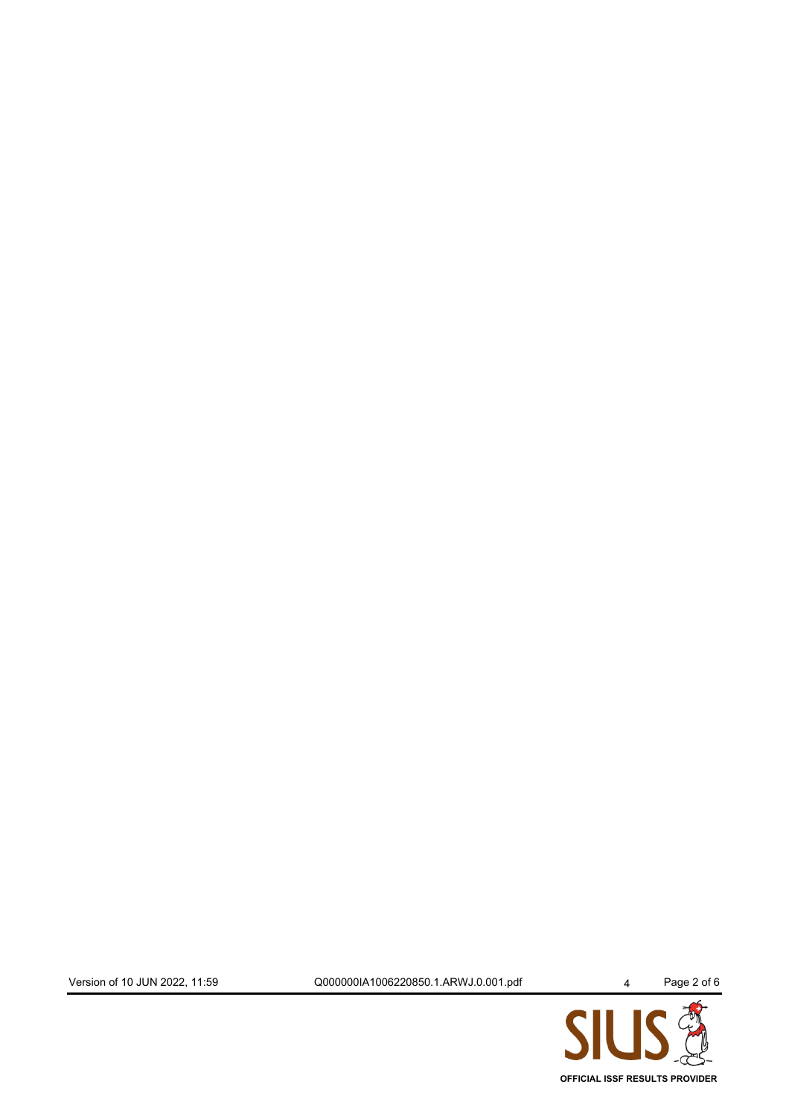

Version of 10 JUN 2022, 11:59 Q000000IA1006220850.1.ARWJ.0.001.pdf 4 Page 2 of 6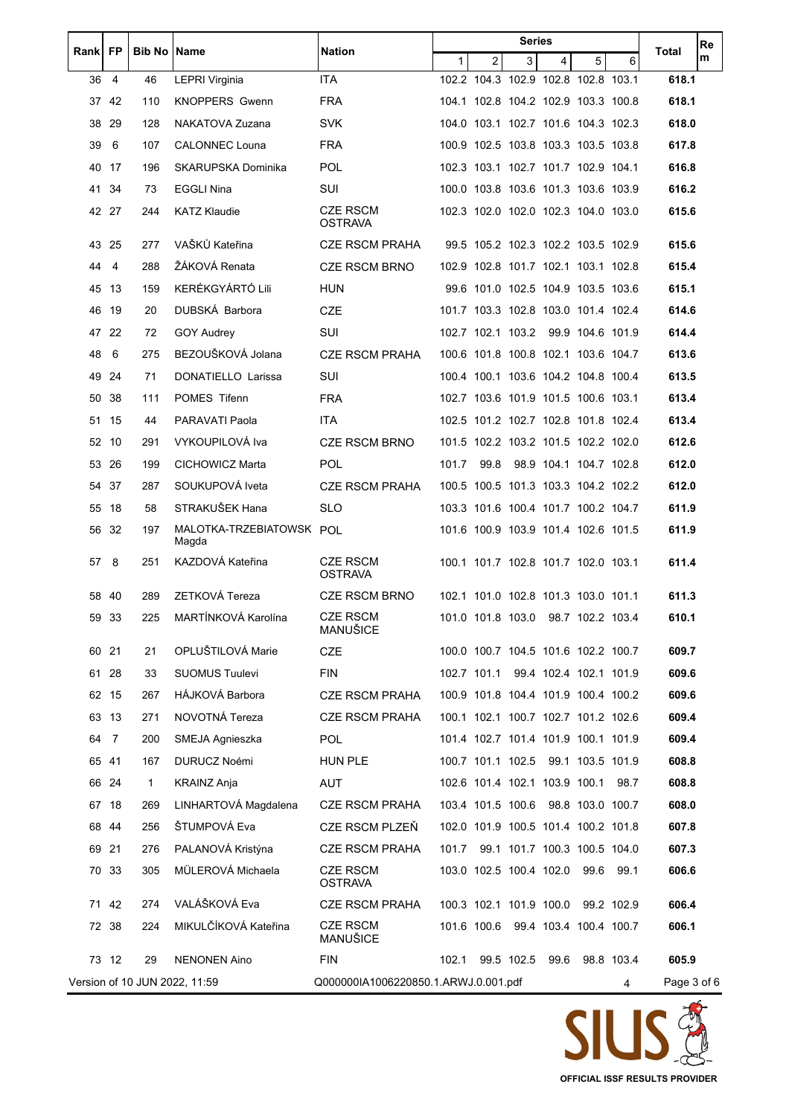| Rankl | FP             |     | <b>Bib No   Name</b>              | <b>Nation</b>                        | <b>Series</b> |                                     |            |                              |      |            | <b>Total</b> | Re |
|-------|----------------|-----|-----------------------------------|--------------------------------------|---------------|-------------------------------------|------------|------------------------------|------|------------|--------------|----|
|       |                |     |                                   |                                      | $\mathbf{1}$  | $\overline{2}$                      | 3          | 4                            | 5    | 6          |              | m  |
| 36    | $\overline{4}$ | 46  | <b>LEPRI Virginia</b>             | <b>ITA</b>                           |               | 102.2 104.3 102.9 102.8 102.8 103.1 |            |                              |      |            | 618.1        |    |
| 37    | 42             | 110 | <b>KNOPPERS Gwenn</b>             | <b>FRA</b>                           |               | 104.1 102.8 104.2 102.9 103.3 100.8 |            |                              |      |            | 618.1        |    |
| 38    | 29             | 128 | NAKATOVA Zuzana                   | <b>SVK</b>                           |               | 104.0 103.1 102.7 101.6 104.3 102.3 |            |                              |      |            | 618.0        |    |
| 39    | 6              | 107 | <b>CALONNEC Louna</b>             | <b>FRA</b>                           |               | 100.9 102.5 103.8 103.3 103.5 103.8 |            |                              |      |            | 617.8        |    |
| 40    | 17             | 196 | <b>SKARUPSKA Dominika</b>         | POL                                  |               | 102.3 103.1 102.7 101.7 102.9 104.1 |            |                              |      |            | 616.8        |    |
| 41    | 34             | 73  | <b>EGGLI Nina</b>                 | <b>SUI</b>                           |               | 100.0 103.8 103.6 101.3 103.6 103.9 |            |                              |      |            | 616.2        |    |
|       | 42 27          | 244 | <b>KATZ Klaudie</b>               | <b>CZE RSCM</b><br><b>OSTRAVA</b>    |               | 102.3 102.0 102.0 102.3 104.0 103.0 |            |                              |      |            | 615.6        |    |
| 43    | 25             | 277 | VAŠKŮ Kateřina                    | <b>CZE RSCM PRAHA</b>                |               | 99.5 105.2 102.3 102.2 103.5 102.9  |            |                              |      |            | 615.6        |    |
| 44    | 4              | 288 | ŽÁKOVÁ Renata                     | <b>CZE RSCM BRNO</b>                 |               | 102.9 102.8 101.7 102.1 103.1 102.8 |            |                              |      |            | 615.4        |    |
| 45    | -13            | 159 | KERÉKGYÁRTÓ Lili                  | HUN                                  |               | 99.6 101.0 102.5 104.9 103.5 103.6  |            |                              |      |            | 615.1        |    |
| 46    | -19            | 20  | DUBSKÁ Barbora                    | <b>CZE</b>                           |               | 101.7 103.3 102.8 103.0 101.4 102.4 |            |                              |      |            | 614.6        |    |
| 47    | 22             | 72  | <b>GOY Audrey</b>                 | SUI                                  |               | 102.7 102.1 103.2 99.9 104.6 101.9  |            |                              |      |            | 614.4        |    |
| 48    | 6              | 275 | BEZOUŠKOVÁ Jolana                 | <b>CZE RSCM PRAHA</b>                |               | 100.6 101.8 100.8 102.1 103.6 104.7 |            |                              |      |            | 613.6        |    |
| 49    | 24             | 71  | DONATIELLO Larissa                | SUI                                  |               | 100.4 100.1 103.6 104.2 104.8 100.4 |            |                              |      |            | 613.5        |    |
| 50    | 38             | 111 | POMES Tifenn                      | <b>FRA</b>                           |               | 102.7 103.6 101.9 101.5 100.6 103.1 |            |                              |      |            | 613.4        |    |
| 51    | 15             | 44  | PARAVATI Paola                    | <b>ITA</b>                           |               | 102.5 101.2 102.7 102.8 101.8 102.4 |            |                              |      |            | 613.4        |    |
|       | 52 10          | 291 | VYKOUPILOVÁ Iva                   | <b>CZE RSCM BRNO</b>                 |               | 101.5 102.2 103.2 101.5 102.2 102.0 |            |                              |      |            | 612.6        |    |
|       | 53 26          | 199 | <b>CICHOWICZ Marta</b>            | POL                                  | 101.7         | 99.8                                |            | 98.9 104.1 104.7 102.8       |      |            | 612.0        |    |
| 54    | 37             | 287 | SOUKUPOVÁ Iveta                   | <b>CZE RSCM PRAHA</b>                |               | 100.5 100.5 101.3 103.3 104.2 102.2 |            |                              |      |            | 612.0        |    |
| 55    | -18            | 58  | STRAKUŠEK Hana                    | SLO                                  |               | 103.3 101.6 100.4 101.7 100.2 104.7 |            |                              |      |            | 611.9        |    |
|       | 56 32          | 197 | MALOTKA-TRZEBIATOWSK POL<br>Magda |                                      |               | 101.6 100.9 103.9 101.4 102.6 101.5 |            |                              |      |            | 611.9        |    |
| 57    | 8              | 251 | KAZDOVÁ Kateřina                  | <b>CZE RSCM</b><br><b>OSTRAVA</b>    |               | 100.1 101.7 102.8 101.7 102.0 103.1 |            |                              |      |            | 611.4        |    |
| 58    | 40             | 289 | ZETKOVÁ Tereza                    | <b>CZE RSCM BRNO</b>                 |               | 102.1 101.0 102.8 101.3 103.0 101.1 |            |                              |      |            | 611.3        |    |
|       | 59 33          | 225 | MARTÍNKOVÁ Karolína               | <b>CZE RSCM</b><br>MANUSICE          |               | 101.0 101.8 103.0 98.7 102.2 103.4  |            |                              |      |            | 610.1        |    |
| 60 21 |                | 21  | OPLUŠTILOVÁ Marie                 | CZE                                  |               | 100.0 100.7 104.5 101.6 102.2 100.7 |            |                              |      |            | 609.7        |    |
| 61    | 28             | 33  | <b>SUOMUS Tuulevi</b>             | <b>FIN</b>                           |               | 102.7 101.1 99.4 102.4 102.1 101.9  |            |                              |      |            | 609.6        |    |
|       | 62 15          | 267 | HÁJKOVÁ Barbora                   | <b>CZE RSCM PRAHA</b>                |               | 100.9 101.8 104.4 101.9 100.4 100.2 |            |                              |      |            | 609.6        |    |
|       | 63 13          | 271 | NOVOTNÁ Tereza                    | <b>CZE RSCM PRAHA</b>                |               | 100.1 102.1 100.7 102.7 101.2 102.6 |            |                              |      |            | 609.4        |    |
| 64    | -7             | 200 | SMEJA Agnieszka                   | <b>POL</b>                           |               | 101.4 102.7 101.4 101.9 100.1 101.9 |            |                              |      |            | 609.4        |    |
|       | 65 41          | 167 | <b>DURUCZ Noémi</b>               | <b>HUN PLE</b>                       |               | 100.7 101.1 102.5 99.1 103.5 101.9  |            |                              |      |            | 608.8        |    |
|       | 66 24          | 1   | <b>KRAINZ Anja</b>                | <b>AUT</b>                           |               | 102.6 101.4 102.1 103.9 100.1       |            |                              |      | 98.7       | 608.8        |    |
|       | 67 18          | 269 | LINHARTOVÁ Magdalena              | <b>CZE RSCM PRAHA</b>                |               | 103.4 101.5 100.6 98.8 103.0 100.7  |            |                              |      |            | 608.0        |    |
|       | 68 44          | 256 | ŠTUMPOVÁ Eva                      | CZE RSCM PLZEŇ                       |               | 102.0 101.9 100.5 101.4 100.2 101.8 |            |                              |      |            | 607.8        |    |
| 69    | 21             | 276 | PALANOVÁ Kristýna                 | <b>CZE RSCM PRAHA</b>                | 101.7         |                                     |            | 99.1 101.7 100.3 100.5 104.0 |      |            | 607.3        |    |
|       | 70 33          | 305 | MÜLEROVÁ Michaela                 | <b>CZE RSCM</b><br><b>OSTRAVA</b>    |               | 103.0 102.5 100.4 102.0             |            |                              | 99.6 | 99.1       | 606.6        |    |
|       | 71 42          | 274 | VALÁŠKOVÁ Eva                     | <b>CZE RSCM PRAHA</b>                |               | 100.3 102.1 101.9 100.0             |            |                              |      | 99.2 102.9 | 606.4        |    |
|       | 72 38          | 224 | MIKULČÍKOVÁ Kateřina              | <b>CZE RSCM</b><br>MANUŠICE          |               | 101.6 100.6 99.4 103.4 100.4 100.7  |            |                              |      |            | 606.1        |    |
|       | 73 12          | 29  | <b>NENONEN Aino</b>               | <b>FIN</b>                           | 102.1         |                                     | 99.5 102.5 | 99.6                         |      | 98.8 103.4 | 605.9        |    |
|       |                |     | Version of 10 JUN 2022, 11:59     | Q000000IA1006220850.1.ARWJ.0.001.pdf |               |                                     |            |                              |      | 4          | Page 3 of 6  |    |

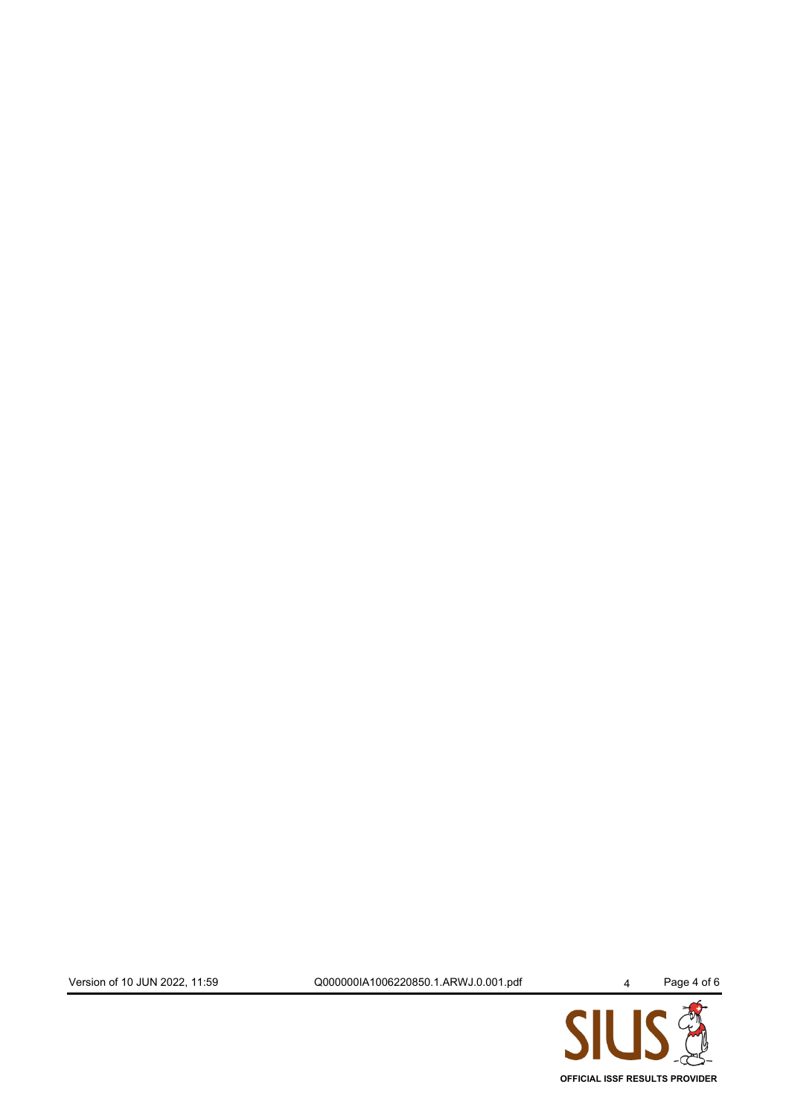

Version of 10 JUN 2022, 11:59 Q000000IA1006220850.1.ARWJ.0.001.pdf 4 Page 4 of 6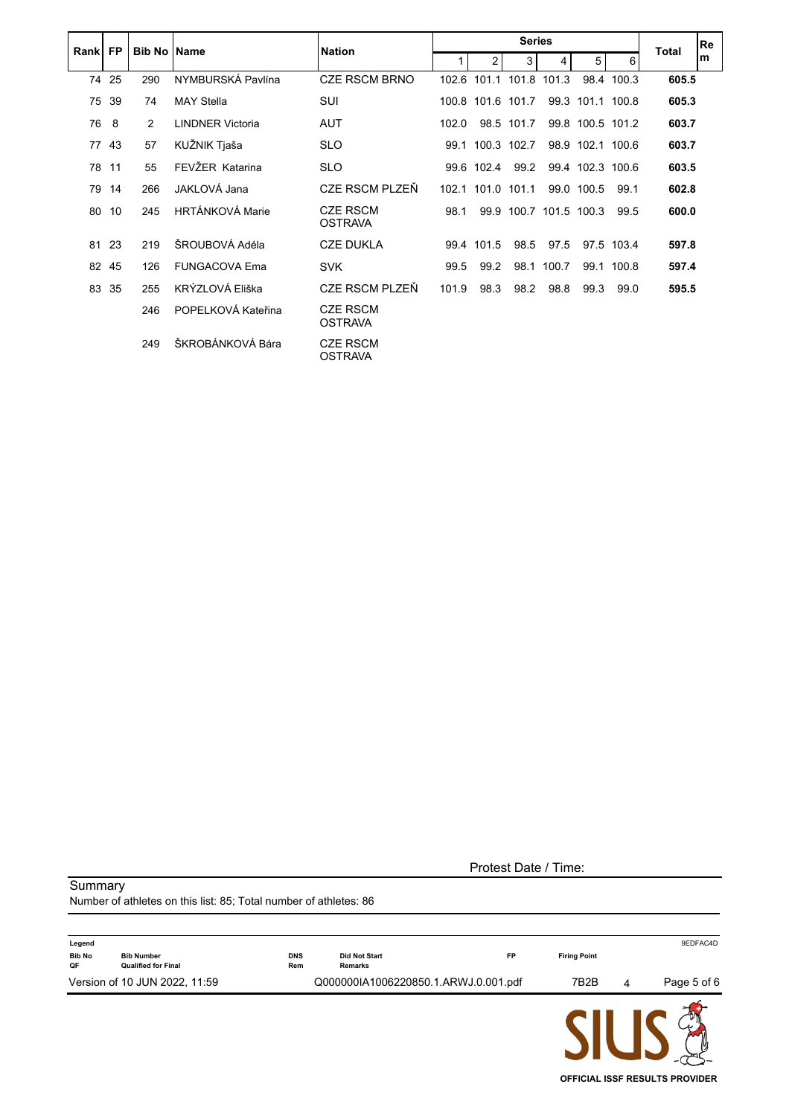| Rank   FP |       |     | <b>Bib No Name</b>      | <b>Nation</b>                     |       |            | <b>Total</b>            | Re         |                  |            |       |   |
|-----------|-------|-----|-------------------------|-----------------------------------|-------|------------|-------------------------|------------|------------------|------------|-------|---|
|           |       |     |                         |                                   |       | 2          | 3                       |            | 5                | 6          |       | m |
|           | 74 25 | 290 | NYMBURSKÁ Pavlína       | <b>CZE RSCM BRNO</b>              |       |            | 102.6 101.1 101.8 101.3 |            |                  | 98.4 100.3 | 605.5 |   |
| 75        | 39    | 74  | <b>MAY Stella</b>       | SUI                               |       |            | 100.8 101.6 101.7       |            | 99.3 101.1 100.8 |            | 605.3 |   |
| 76        | - 8   | 2   | <b>LINDNER Victoria</b> | <b>AUT</b>                        | 102.0 |            | 98.5 101.7              |            | 99.8 100.5 101.2 |            | 603.7 |   |
| 77        | 43    | 57  | KUŽNIK Tjaša            | <b>SLO</b>                        |       |            | 99.1 100.3 102.7        |            | 98.9 102.1 100.6 |            | 603.7 |   |
|           | 78 11 | 55  | FEVŽER Katarina         | <b>SLO</b>                        |       | 99.6 102.4 | 99.2                    |            | 99.4 102.3 100.6 |            | 603.5 |   |
|           | 79 14 | 266 | JAKLOVÁ Jana            | CZE RSCM PLZEŇ                    |       |            | 102.1 101.0 101.1       |            | 99.0 100.5       | 99.1       | 602.8 |   |
| 80        | 10    | 245 | HRTÁNKOVÁ Marie         | <b>CZE RSCM</b><br><b>OSTRAVA</b> | 98.1  |            | 99.9 100.7 101.5 100.3  |            |                  | 99.5       | 600.0 |   |
| 81        | 23    | 219 | ŠROUBOVÁ Adéla          | <b>CZE DUKLA</b>                  |       | 99.4 101.5 | 98.5                    | 97.5       |                  | 97.5 103.4 | 597.8 |   |
| 82        | 45    | 126 | <b>FUNGACOVA Ema</b>    | <b>SVK</b>                        | 99.5  | 99.2       |                         | 98.1 100.7 |                  | 99.1 100.8 | 597.4 |   |
| 83        | 35    | 255 | KRÝZLOVÁ Eliška         | CZE RSCM PLZEŇ                    | 101.9 | 98.3       | 98.2                    | 98.8       | 99.3             | 99.0       | 595.5 |   |
|           |       | 246 | POPELKOVÁ Kateřina      | <b>CZE RSCM</b><br><b>OSTRAVA</b> |       |            |                         |            |                  |            |       |   |
|           |       | 249 | ŠKROBÁNKOVÁ Bára        | <b>CZE RSCM</b><br><b>OSTRAVA</b> |       |            |                         |            |                  |            |       |   |

Protest Date / Time:

**Summary** Number of athletes on this list: 85; Total number of athletes: 86 **Legend** 9EDFAC4D **Bib No Bib Number DNS Did Not Start FP Firing Point QF Qualified for Final Rem Remarks** Version of 10 JUN 2022, 11:59 Q000000IA1006220850.1.ARWJ.0.001.pdf 7B2B 4 Page 5 of 6

**OFFICIAL ISSF RESULTS PROVIDER**